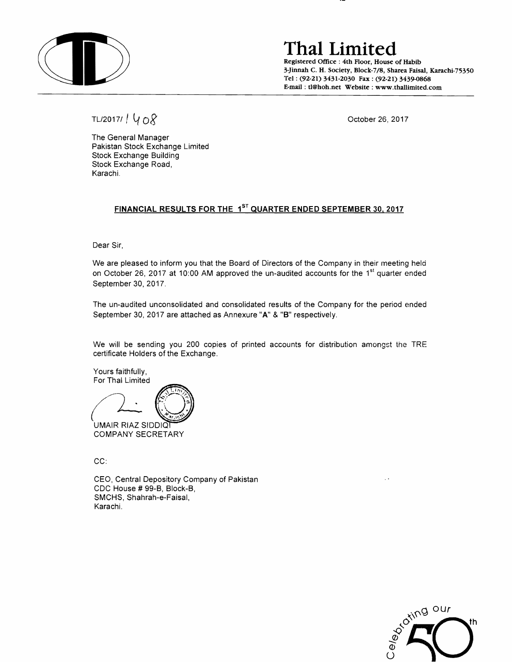

**ThaI Limited** 

Registered Office: 4th Floor, House of Habib 3-Jinnah C. H. Society, Block-7/8, Sharea Faisai, Karachi-75350 Tel: (92-21) 3431-2030 Fax: (92-21) 3439-0868 E-mail: t1@hoh.net Website: www.thallimited.com

TL/2017/  $\bigvee_{Q} Q$  October 26, 2017

The General Manager Pakistan Stock Exchange Limited Stock Exchange Building Stock Exchange Road, Karachi.

### **FINANCIAL RESULTS FOR THE** 1ST **QUARTER ENDED SEPTEMBER 30.2017**

Dear Sir,

We are pleased to inform you that the Board of Directors of the Company in their meeting held on October 26, 2017 at 10:00 AM approved the un-audited accounts for the 1<sup>st</sup> quarter ended September 30. 2017.

The un-audited unconsolidated and consolidated results of the Company for the period ended September 30, 2017 are attached as Annexure "A" & "B" respectively.

We will be sending you 200 copies of printed accounts for distribution amongst the TRE certificate Holders of the Exchange.

Yours faithfully,

For Thai Limited<br>
For Thai Limited<br>
CHAMP PLAZ SIDE

UMAIR RIAZ SIDDIQ COMPANY SECRETARY

CC:

CEO, Central Depository Company of Pakistan CDC House # 99-B, Block-B, SMCHS, Shahrah-e-Faisal, Karachi.

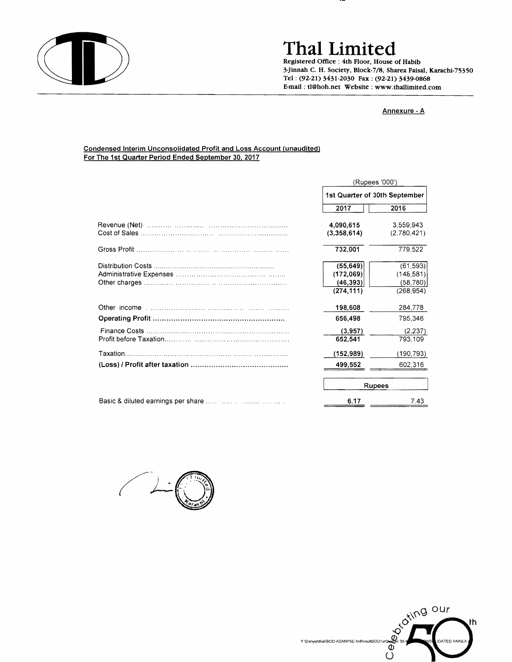

## **ThaI Limited**

Registered Office: 4th Floor, House of Habib 3-Jinnah C. H. Society, Block-7/8, Sharea Faisal, Karachi-75350 Tel: (92-21) 3431-2030 Fax: (92-21) 3439-0868 E-mail: tI@hoh.net Website: www.thallimited.com

#### Annexure - A

#### Condensed Interim Unconsolidated Profit and Loss Account (unaudited) For The 1st Quarter Period Ended September 30, 2017

|  | (Rupees '000')<br>1st Quarter of 30th September |             |
|--|-------------------------------------------------|-------------|
|  |                                                 |             |
|  | 2017                                            | 2016        |
|  | 4,090,615                                       | 3,559,943   |
|  | (3,358,614)                                     | (2,780,421) |
|  | 732,001                                         | 779,522     |
|  | (55, 649)                                       | (61, 593)   |
|  | (172,069)                                       | (148, 581)  |
|  | (46, 393)                                       | (58,780)    |
|  | (274, 111)                                      | (268, 954)  |
|  | 198,608                                         | 284,778     |
|  | 656,498                                         | 795,346     |
|  | (3,957)                                         | (2,237)     |
|  | 652,541                                         | 793,109     |
|  | (152,989)                                       | (190, 793)  |
|  | 499,552                                         | 602,316     |
|  | <b>Rupees</b>                                   |             |
|  | 6.17                                            | 7.43        |